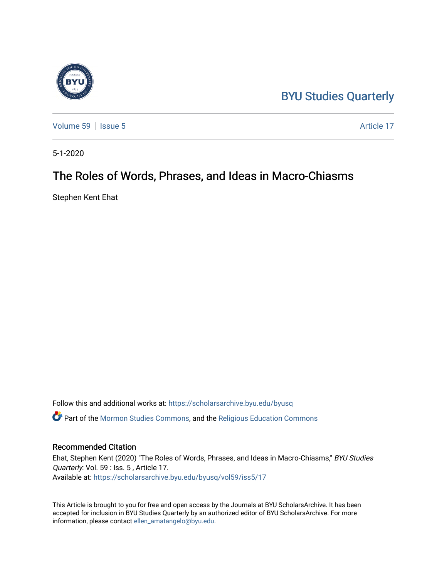## [BYU Studies Quarterly](https://scholarsarchive.byu.edu/byusq)



[Volume 59](https://scholarsarchive.byu.edu/byusq/vol59) | [Issue 5](https://scholarsarchive.byu.edu/byusq/vol59/iss5) Article 17

5-1-2020

## The Roles of Words, Phrases, and Ideas in Macro-Chiasms

Stephen Kent Ehat

Follow this and additional works at: [https://scholarsarchive.byu.edu/byusq](https://scholarsarchive.byu.edu/byusq?utm_source=scholarsarchive.byu.edu%2Fbyusq%2Fvol59%2Fiss5%2F17&utm_medium=PDF&utm_campaign=PDFCoverPages)  Part of the [Mormon Studies Commons](http://network.bepress.com/hgg/discipline/1360?utm_source=scholarsarchive.byu.edu%2Fbyusq%2Fvol59%2Fiss5%2F17&utm_medium=PDF&utm_campaign=PDFCoverPages), and the [Religious Education Commons](http://network.bepress.com/hgg/discipline/1414?utm_source=scholarsarchive.byu.edu%2Fbyusq%2Fvol59%2Fiss5%2F17&utm_medium=PDF&utm_campaign=PDFCoverPages) 

## Recommended Citation

Ehat, Stephen Kent (2020) "The Roles of Words, Phrases, and Ideas in Macro-Chiasms," BYU Studies Quarterly: Vol. 59 : Iss. 5 , Article 17. Available at: [https://scholarsarchive.byu.edu/byusq/vol59/iss5/17](https://scholarsarchive.byu.edu/byusq/vol59/iss5/17?utm_source=scholarsarchive.byu.edu%2Fbyusq%2Fvol59%2Fiss5%2F17&utm_medium=PDF&utm_campaign=PDFCoverPages) 

This Article is brought to you for free and open access by the Journals at BYU ScholarsArchive. It has been accepted for inclusion in BYU Studies Quarterly by an authorized editor of BYU ScholarsArchive. For more information, please contact [ellen\\_amatangelo@byu.edu.](mailto:ellen_amatangelo@byu.edu)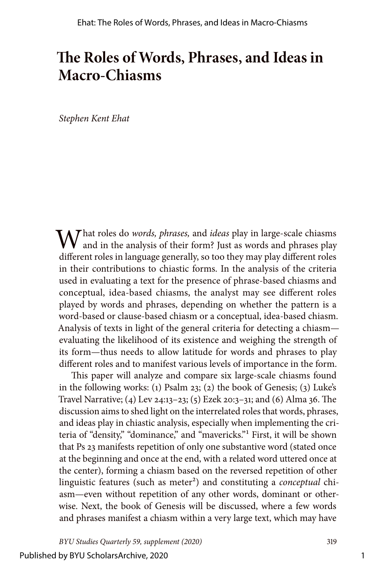# **The Roles of Words, Phrases, and Ideas in Macro-Chiasms**

*Stephen Kent Ehat*

What roles do *words, phrases,* and *ideas* play in large-scale chiasms  $\sqrt{ }$  and in the analysis of their form? Just as words and phrases play different roles in language generally, so too they may play different roles in their contributions to chiastic forms. In the analysis of the criteria used in evaluating a text for the presence of phrase-based chiasms and conceptual, idea-based chiasms, the analyst may see different roles played by words and phrases, depending on whether the pattern is a word-based or clause-based chiasm or a conceptual, idea-based chiasm. Analysis of texts in light of the general criteria for detecting a chiasm evaluating the likelihood of its existence and weighing the strength of its form—thus needs to allow latitude for words and phrases to play different roles and to manifest various levels of importance in the form.

This paper will analyze and compare six large-scale chiasms found in the following works: (1) Psalm 23; (2) the book of Genesis; (3) Luke's Travel Narrative; (4) Lev 24:13–23; (5) Ezek 20:3–31; and (6) Alma 36. The discussion aims to shed light on the interrelated roles that words, phrases, and ideas play in chiastic analysis, especially when implementing the criteria of "density," "dominance," and "mavericks."1 First, it will be shown that Ps 23 manifests repetition of only one substantive word (stated once at the beginning and once at the end, with a related word uttered once at the center), forming a chiasm based on the reversed repetition of other linguistic features (such as meter<sup>2</sup>) and constituting a *conceptual* chiasm—even without repetition of any other words, dominant or otherwise. Next, the book of Genesis will be discussed, where a few words and phrases manifest a chiasm within a very large text, which may have

*BYU Studies Quarterly 59, supplement (2020)* 319

1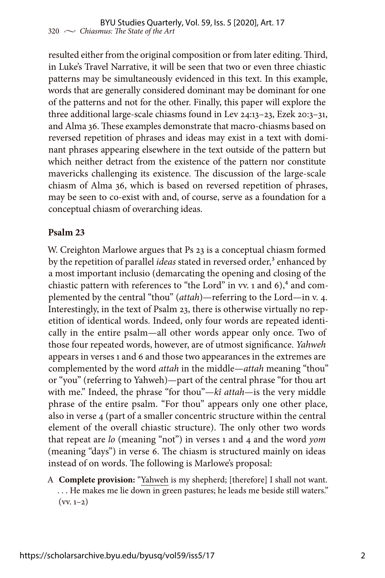resulted either from the original composition or from later editing. Third, in Luke's Travel Narrative, it will be seen that two or even three chiastic patterns may be simultaneously evidenced in this text. In this example, words that are generally considered dominant may be dominant for one of the patterns and not for the other. Finally, this paper will explore the three additional large-scale chiasms found in Lev 24:13–23, Ezek 20:3–31, and Alma 36. These examples demonstrate that macro-chiasms based on reversed repetition of phrases and ideas may exist in a text with dominant phrases appearing elsewhere in the text outside of the pattern but which neither detract from the existence of the pattern nor constitute mavericks challenging its existence. The discussion of the large-scale chiasm of Alma 36, which is based on reversed repetition of phrases, may be seen to co-exist with and, of course, serve as a foundation for a conceptual chiasm of overarching ideas.

## **Psalm 23**

W. Creighton Marlowe argues that Ps 23 is a conceptual chiasm formed by the repetition of parallel *ideas* stated in reversed order,<sup>3</sup> enhanced by a most important inclusio (demarcating the opening and closing of the chiastic pattern with references to "the Lord" in vv. 1 and  $6$ ),  $4$  and complemented by the central "thou" (*attah*)—referring to the Lord—in v. 4. Interestingly, in the text of Psalm 23, there is otherwise virtually no repetition of identical words. Indeed, only four words are repeated identically in the entire psalm—all other words appear only once. Two of those four repeated words, however, are of utmost significance. *Yahweh* appears in verses 1 and 6 and those two appearances in the extremes are complemented by the word *attah* in the middle—*attah* meaning "thou" or "you" (referring to Yahweh)—part of the central phrase "for thou art with me." Indeed, the phrase "for thou"—*kî attah*—is the very middle phrase of the entire psalm. "For thou" appears only one other place, also in verse 4 (part of a smaller concentric structure within the central element of the overall chiastic structure). The only other two words that repeat are *lo* (meaning "not") in verses 1 and 4 and the word *yom* (meaning "days") in verse 6. The chiasm is structured mainly on ideas instead of on words. The following is Marlowe's proposal:

A **Complete provision:** "Yahweh is my shepherd; [therefore] I shall not want. . . . He makes me lie down in green pastures; he leads me beside still waters."  $(vv. 1-2)$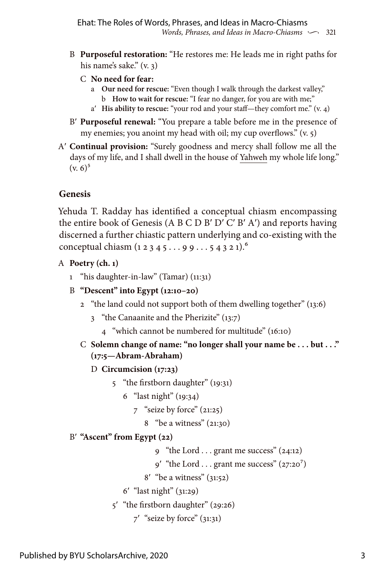- B **Purposeful restoration:** "He restores me: He leads me in right paths for his name's sake." (v. 3)
	- C **No need for fear:**
		- a **Our need for rescue:** "Even though I walk through the darkest valley,"
			- b **How to wait for rescue:** "I fear no danger, for you are with me;"
		- aʹ **His ability to rescue:** "your rod and your staff—they comfort me." (v. 4)
- Bʹ **Purposeful renewal:** "You prepare a table before me in the presence of my enemies; you anoint my head with oil; my cup overflows." (v. 5)
- Aʹ **Continual provision:** "Surely goodness and mercy shall follow me all the days of my life, and I shall dwell in the house of Yahweh my whole life long."  $(v. 6)^5$

## **Genesis**

Yehuda T. Radday has identified a conceptual chiasm encompassing the entire book of Genesis (A B C D Bʹ Dʹ Cʹ Bʹ Aʹ) and reports having discerned a further chiastic pattern underlying and co-existing with the conceptual chiasm (1 2 3 4 5 . . . 9 9 . . . 5 4 3 2 1).<sup>6</sup>

## A **Poetry (ch. 1)**

- 1 "his daughter-in-law" (Tamar) (11:31)
- B **"Descent" into Egypt (12:10–20)**
	- 2 "the land could not support both of them dwelling together" (13:6)
		- 3 "the Canaanite and the Pherizite" (13:7)
			- 4 "which cannot be numbered for multitude" (16:10)
	- C **Solemn change of name: "no longer shall your name be . . . but . . ." (17:5—Abram-Abraham)**

### D **Circumcision (17:23)**

- 5 "the firstborn daughter" (19:31)
	- 6 "last night" (19:34)
		- 7 "seize by force" (21:25)
			- 8 "be a witness" (21:30)

## Bʹ **"Ascent" from Egypt (22)**

- 9 "the Lord . . . grant me success" (24:12)
- $9'$  "the Lord . . . grant me success" (27:20<sup>7</sup>)
- 8ʹ "be a witness" (31:52)

```
 6ʹ "last night" (31:29)
```
- 5ʹ "the firstborn daughter" (29:26)
	- 7ʹ "seize by force" (31:31)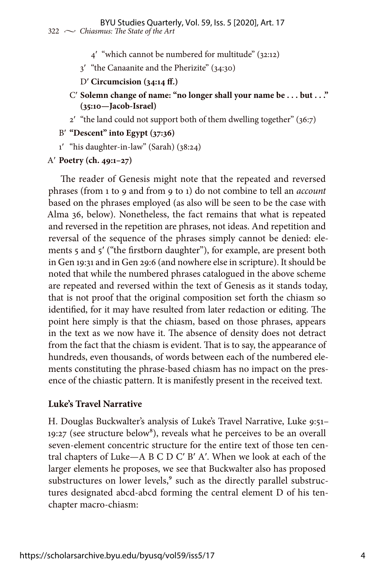- 4ʹ "which cannot be numbered for multitude" (32:12)
- 3ʹ "the Canaanite and the Pherizite" (34:30)
- Dʹ **Circumcision (34:14 ff.)**
- Cʹ **Solemn change of name: "no longer shall your name be . . . but . . ." (35:10—Jacob-Israel)**
- 2ʹ "the land could not support both of them dwelling together" (36:7)

#### Bʹ **"Descent" into Egypt (37:36)**

1ʹ "his daughter-in-law" (Sarah) (38:24)

#### Aʹ **Poetry (ch. 49:1–27)**

The reader of Genesis might note that the repeated and reversed phrases (from 1 to 9 and from 9 to 1) do not combine to tell an *account* based on the phrases employed (as also will be seen to be the case with Alma 36, below). Nonetheless, the fact remains that what is repeated and reversed in the repetition are phrases, not ideas. And repetition and reversal of the sequence of the phrases simply cannot be denied: elements 5 and 5ʹ ("the firstborn daughter"), for example, are present both in Gen 19:31 and in Gen 29:6 (and nowhere else in scripture). It should be noted that while the numbered phrases catalogued in the above scheme are repeated and reversed within the text of Genesis as it stands today, that is not proof that the original composition set forth the chiasm so identified, for it may have resulted from later redaction or editing. The point here simply is that the chiasm, based on those phrases, appears in the text as we now have it. The absence of density does not detract from the fact that the chiasm is evident. That is to say, the appearance of hundreds, even thousands, of words between each of the numbered elements constituting the phrase-based chiasm has no impact on the presence of the chiastic pattern. It is manifestly present in the received text.

### **Luke's Travel Narrative**

H. Douglas Buckwalter's analysis of Luke's Travel Narrative, Luke 9:51–  $19:27$  (see structure below<sup>8</sup>), reveals what he perceives to be an overall seven-element concentric structure for the entire text of those ten central chapters of Luke—A B C D Cʹ Bʹ Aʹ. When we look at each of the larger elements he proposes, we see that Buckwalter also has proposed substructures on lower levels,<sup>9</sup> such as the directly parallel substructures designated abcd-abcd forming the central element D of his tenchapter macro-chiasm: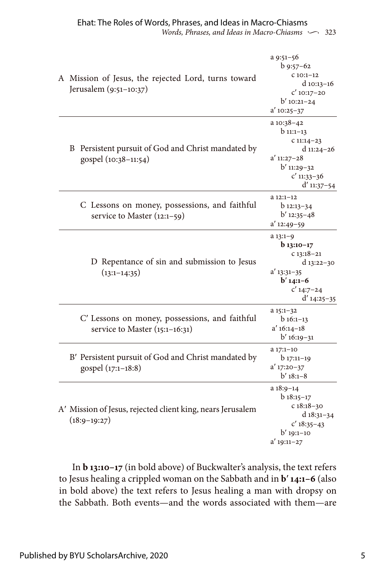*Words, Phrases, and Ideas in Macro-Chiasms*  $\sim$  323 Ehat: The Roles of Words, Phrases, and Ideas in Macro-Chiasms

|  | A Mission of Jesus, the rejected Lord, turns toward<br>Jerusalem (9:51-10:37)    | a 9:51-56<br>$b$ 9:57-62<br>$C10:1-12$<br>d 10:13-16<br>$C'$ 10:17-20<br>$b'$ 10:21-24<br>$a'$ 10:25-37                      |
|--|----------------------------------------------------------------------------------|------------------------------------------------------------------------------------------------------------------------------|
|  | B Persistent pursuit of God and Christ mandated by<br>gospel (10:38-11:54)       | a 10:38-42<br>$b_{11:1-13}$<br>$C11:14-23$<br>d $11:24-26$<br>$a'$ 11:27-28<br>b' 11:29-32<br>$c'$ 11:33-36<br>$d'$ 11:37-54 |
|  | C Lessons on money, possessions, and faithful<br>service to Master $(12:1-59)$   | $a 12:1-12$<br>b 12:13-34<br>$b'$ 12:35-48<br>$a'$ 12:49-59                                                                  |
|  | D Repentance of sin and submission to Jesus<br>$(13:1-14:35)$                    | $a 13:1-9$<br>$b_{13:10-17}$<br>$c13:18-21$<br>d 13:22-30<br>$a'$ 13:31-35<br>$b'$ 14:1-6<br>$C'$ 14:7-24<br>$d'$ 14:25-35   |
|  | C' Lessons on money, possessions, and faithful<br>service to Master (15:1-16:31) | $a 15:1-32$<br>$b16:1-13$<br>$a' 16:14-18$<br>$b'$ 16:19-31                                                                  |
|  | B' Persistent pursuit of God and Christ mandated by<br>gospel (17:1-18:8)        | a 17:1-10<br>$b_{17:11-19}$<br>$a'$ 17:20-37<br>$b'$ 18:1-8                                                                  |
|  | A' Mission of Jesus, rejected client king, nears Jerusalem<br>$(18:9-19:27)$     | $a 18:9-14$<br>$b$ 18:15-17<br>$c18:18-30$<br>d $18:31-34$<br>$C'$ 18:35-43<br>$b'$ 19:1-10<br>$a'$ 19:11-27                 |

In **b 13:10–17** (in bold above) of Buckwalter's analysis, the text refers to Jesus healing a crippled woman on the Sabbath and in **b**ʹ **14:1–6** (also in bold above) the text refers to Jesus healing a man with dropsy on the Sabbath. Both events—and the words associated with them—are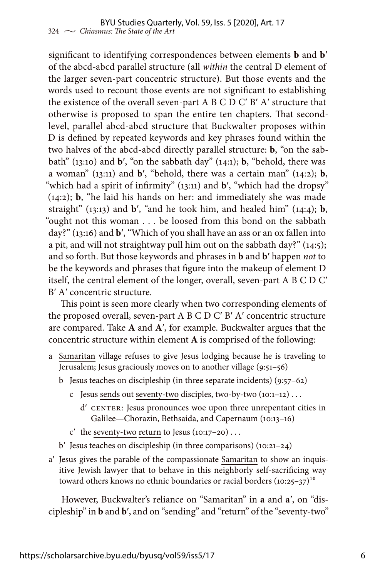significant to identifying correspondences between elements **b** and **b**ʹ of the abcd-abcd parallel structure (all *within* the central D element of the larger seven-part concentric structure). But those events and the words used to recount those events are not significant to establishing the existence of the overall seven-part A B C D Cʹ Bʹ Aʹ structure that otherwise is proposed to span the entire ten chapters. That secondlevel, parallel abcd-abcd structure that Buckwalter proposes within D is defined by repeated keywords and key phrases found within the two halves of the abcd-abcd directly parallel structure: **b**, "on the sabbath" (13:10) and **b**ʹ, "on the sabbath day" (14:1); **b**, "behold, there was a woman" (13:11) and **b**ʹ, "behold, there was a certain man" (14:2); **b**, "which had a spirit of infirmity" (13:11) and **b'**, "which had the dropsy" (14:2); **b**, "he laid his hands on her: and immediately she was made straight" (13:13) and  $\mathbf{b}'$ , "and he took him, and healed him" (14:4);  $\mathbf{b}$ , "ought not this woman . . . be loosed from this bond on the sabbath day?" (13:16) and **b**ʹ, "Which of you shall have an ass or an ox fallen into a pit, and will not straightway pull him out on the sabbath day?" (14:5); and so forth. But those keywords and phrases in **b** and **b**ʹ happen *not* to be the keywords and phrases that figure into the makeup of element D itself, the central element of the longer, overall, seven-part A B C D Cʹ Bʹ Aʹ concentric structure.

This point is seen more clearly when two corresponding elements of the proposed overall, seven-part A B C D Cʹ Bʹ Aʹ concentric structure are compared. Take **A** and **A**ʹ, for example. Buckwalter argues that the concentric structure within element **A** is comprised of the following:

- a Samaritan village refuses to give Jesus lodging because he is traveling to Jerusalem; Jesus graciously moves on to another village (9:51–56)
	- b Jesus teaches on discipleship (in three separate incidents) (9:57–62)
		- c Jesus sends out seventy-two disciples, two-by-two (10:1–12) . . .
			- dʹ CENTER: Jesus pronounces woe upon three unrepentant cities in Galilee—Chorazin, Bethsaida, and Capernaum (10:13–16)
		- $c'$  the seventy-two return to Jesus (10:17–20)...
	- $b'$  Jesus teaches on discipleship (in three comparisons) (10:21–24)
- aʹ Jesus gives the parable of the compassionate Samaritan to show an inquisitive Jewish lawyer that to behave in this neighborly self-sacrificing way toward others knows no ethnic boundaries or racial borders  $(10:25-37)^{10}$

However, Buckwalter's reliance on "Samaritan" in **a** and **a**ʹ, on "discipleship" in **b** and **b**ʹ, and on "sending" and "return" of the "seventy-two"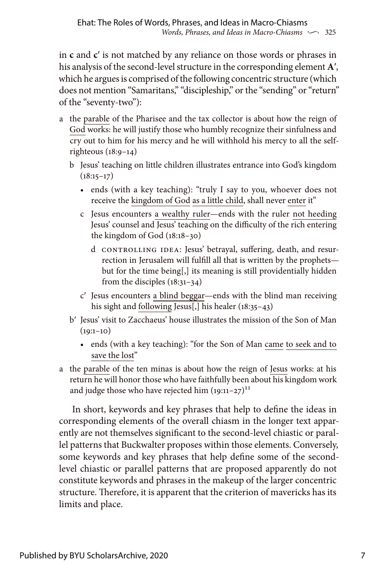in **c** and **c**ʹ is not matched by any reliance on those words or phrases in his analysis of the second-level structure in the corresponding element **A**ʹ, which he argues is comprised of the following concentric structure (which does not mention "Samaritans," "discipleship," or the "sending" or "return" of the "seventy-two"):

- a the parable of the Pharisee and the tax collector is about how the reign of God works: he will justify those who humbly recognize their sinfulness and cry out to him for his mercy and he will withhold his mercy to all the selfrighteous (18:9–14)
	- b Jesus' teaching on little children illustrates entrance into God's kingdom  $(18:15-17)$ 
		- ends (with a key teaching): "truly I say to you, whoever does not receive the kingdom of God as a little child, shall never enter it"
		- c Jesus encounters a wealthy ruler—ends with the ruler not heeding Jesus' counsel and Jesus' teaching on the difficulty of the rich entering the kingdom of God (18:18–30)
			- d CONTROLLING IDEA: Jesus' betrayal, suffering, death, and resurrection in Jerusalem will fulfill all that is written by the prophets but for the time being[,] its meaning is still providentially hidden from the disciples (18:31–34)
		- cʹ Jesus encounters a blind beggar—ends with the blind man receiving his sight and following Jesus[,] his healer (18:35–43)
	- b' Iesus' visit to Zacchaeus' house illustrates the mission of the Son of Man  $(19:1-10)$ 
		- ends (with a key teaching): "for the Son of Man came to seek and to save the lost"
- a the parable of the ten minas is about how the reign of Jesus works: at his return he will honor those who have faithfully been about his kingdom work and judge those who have rejected him  $(19:11-27)^{11}$

In short, keywords and key phrases that help to define the ideas in corresponding elements of the overall chiasm in the longer text apparently are not themselves significant to the second-level chiastic or parallel patterns that Buckwalter proposes within those elements. Conversely, some keywords and key phrases that help define some of the secondlevel chiastic or parallel patterns that are proposed apparently do not constitute keywords and phrases in the makeup of the larger concentric structure. Therefore, it is apparent that the criterion of mavericks has its limits and place.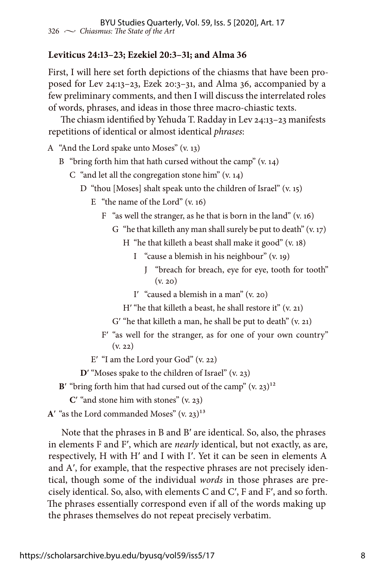## **Leviticus 24:13–23; Ezekiel 20:3–31; and Alma 36**

First, I will here set forth depictions of the chiasms that have been proposed for Lev 24:13–23, Ezek 20:3–31, and Alma 36, accompanied by a few preliminary comments, and then I will discuss the interrelated roles of words, phrases, and ideas in those three macro-chiastic texts.

The chiasm identified by Yehuda T. Radday in Lev 24:13–23 manifests repetitions of identical or almost identical *phrases*:

A "And the Lord spake unto Moses" (v. 13)

- B "bring forth him that hath cursed without the camp"  $(v. 14)$ 
	- C "and let all the congregation stone him" (v. 14)
		- D "thou [Moses] shalt speak unto the children of Israel" (v. 15)
			- E "the name of the Lord"  $(v, 16)$ 
				- F "as well the stranger, as he that is born in the land" (v. 16)
					- G "he that killeth any man shall surely be put to death"  $(v. 17)$ 
						- H "he that killeth a beast shall make it good" (v. 18)
							- I "cause a blemish in his neighbour" (v. 19)
								- J "breach for breach, eye for eye, tooth for tooth"  $(v. 20)$
							- I' "caused a blemish in a man"  $(v, 20)$
						- H' "he that killeth a beast, he shall restore it"  $(v, 21)$
					- $G'$  "he that killeth a man, he shall be put to death"  $(v, 21)$
				- Fʹ "as well for the stranger, as for one of your own country" (v. 22)
			- $E'$  "I am the Lord your God" (v. 22)

**D'** "Moses spake to the children of Israel" (v. 23)

**B**<sup> $\prime$ </sup> "bring forth him that had cursed out of the camp"  $(v, 23)^{12}$ 

**C**ʹ "and stone him with stones" (v. 23)

 $A'$  "as the Lord commanded Moses"  $(v. 23)^{13}$ 

Note that the phrases in B and Bʹ are identical. So, also, the phrases in elements F and Fʹ, which are *nearly* identical, but not exactly, as are, respectively, H with Hʹ and I with Iʹ. Yet it can be seen in elements A and A', for example, that the respective phrases are not precisely identical, though some of the individual *words* in those phrases are precisely identical. So, also, with elements C and Cʹ, F and Fʹ, and so forth. The phrases essentially correspond even if all of the words making up the phrases themselves do not repeat precisely verbatim.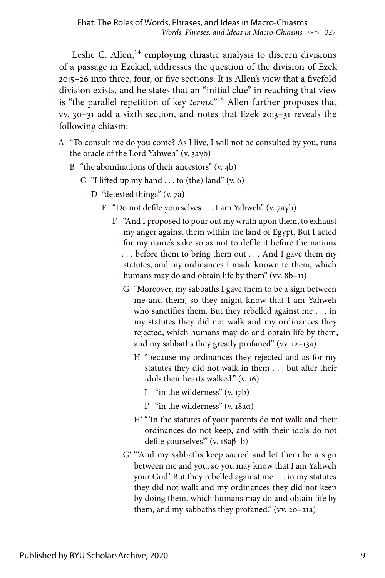Leslie C. Allen,<sup>14</sup> employing chiastic analysis to discern divisions of a passage in Ezekiel, addresses the question of the division of Ezek 20:5–26 into three, four, or five sections. It is Allen's view that a fivefold division exists, and he states that an "initial clue" in reaching that view is "the parallel repetition of key *terms.*"15 Allen further proposes that vv. 30–31 add a sixth section, and notes that Ezek 20:3–31 reveals the following chiasm:

- A "To consult me do you come? As I live, I will not be consulted by you, runs the oracle of the Lord Yahweh" (v. 3aγb)
	- B "the abominations of their ancestors" (v. 4b)
		- C "I lifted up my hand . . . to (the) land"  $(v. 6)$ 
			- D "detested things" (v. 7a)
				- E "Do not defile yourselves . . . I am Yahweh" (v. 7aγb)
					- F "And I proposed to pour out my wrath upon them, to exhaust my anger against them within the land of Egypt. But I acted for my name's sake so as not to defile it before the nations . . . before them to bring them out . . . And I gave them my statutes, and my ordinances I made known to them, which humans may do and obtain life by them" (vv. 8b-11)
						- G "Moreover, my sabbaths I gave them to be a sign between me and them, so they might know that I am Yahweh who sanctifies them. But they rebelled against me . . . in my statutes they did not walk and my ordinances they rejected, which humans may do and obtain life by them, and my sabbaths they greatly profaned" (vv. 12–13a)
							- H "because my ordinances they rejected and as for my statutes they did not walk in them . . . but after their idols their hearts walked." (v. 16)
								- I "in the wilderness" (v. 17b)
								- Iʹ "in the wilderness" (v. 18aα)
							- H' "'In the statutes of your parents do not walk and their ordinances do not keep, and with their idols do not defile yourselves'" (v. 18aβ–b)
						- Gʹ "'And my sabbaths keep sacred and let them be a sign between me and you, so you may know that I am Yahweh your God.' But they rebelled against me . . . in my statutes they did not walk and my ordinances they did not keep by doing them, which humans may do and obtain life by them, and my sabbaths they profaned." (vv. 20–21a)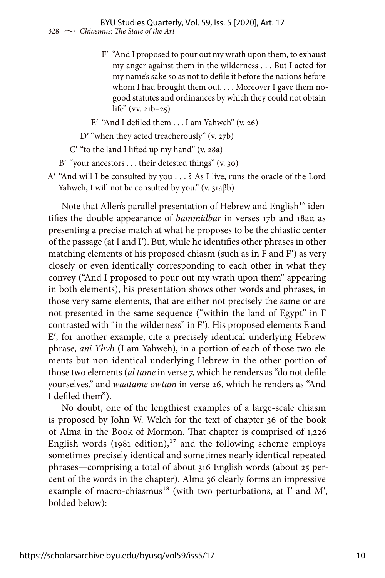- Fʹ "And I proposed to pour out my wrath upon them, to exhaust my anger against them in the wilderness . . . But I acted for my name's sake so as not to defile it before the nations before whom I had brought them out. . . . Moreover I gave them nogood statutes and ordinances by which they could not obtain life" (vv. 21b–25)
- E' "And I defiled them  $\ldots$  I am Yahweh" (v. 26)
- D' "when they acted treacherously" (v. 27b)

Cʹ "to the land I lifted up my hand" (v. 28a)

- B' "your ancestors  $\dots$  their detested things" (v. 30)
- Aʹ "And will I be consulted by you . . . ? As I live, runs the oracle of the Lord Yahweh, I will not be consulted by you." (v. 31aβb)

Note that Allen's parallel presentation of Hebrew and English<sup>16</sup> identifies the double appearance of *bammidbar* in verses 17b and 18aα as presenting a precise match at what he proposes to be the chiastic center of the passage (at I and Iʹ). But, while he identifies other phrases in other matching elements of his proposed chiasm (such as in F and Fʹ) as very closely or even identically corresponding to each other in what they convey ("And I proposed to pour out my wrath upon them" appearing in both elements), his presentation shows other words and phrases, in those very same elements, that are either not precisely the same or are not presented in the same sequence ("within the land of Egypt" in F contrasted with "in the wilderness" in Fʹ). His proposed elements E and Eʹ, for another example, cite a precisely identical underlying Hebrew phrase, *ani Yhvh* (I am Yahweh), in a portion of each of those two elements but non-identical underlying Hebrew in the other portion of those two elements (*al tame* in verse 7, which he renders as "do not defile yourselves," and *waatame owtam* in verse 26, which he renders as "And I defiled them").

No doubt, one of the lengthiest examples of a large-scale chiasm is proposed by John W. Welch for the text of chapter 36 of the book of Alma in the Book of Mormon. That chapter is comprised of 1,226 English words  $(1981$  edition),<sup>17</sup> and the following scheme employs sometimes precisely identical and sometimes nearly identical repeated phrases—comprising a total of about 316 English words (about 25 percent of the words in the chapter). Alma 36 clearly forms an impressive example of macro-chiasmus<sup>18</sup> (with two perturbations, at I' and M', bolded below):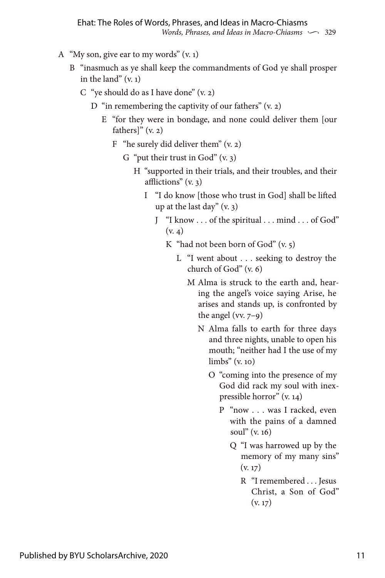- A "My son, give ear to my words" (v. 1)
	- B "inasmuch as ye shall keep the commandments of God ye shall prosper in the land"  $(v, 1)$ 
		- C "ye should do as I have done" (v. 2)
			- D "in remembering the captivity of our fathers" (v. 2)
				- E "for they were in bondage, and none could deliver them [our fathers]"  $(v, 2)$ 
					- F "he surely did deliver them"  $(v, 2)$ 
						- G "put their trust in  $God" (v. 3)$ 
							- H "supported in their trials, and their troubles, and their afflictions" (v. 3)
								- I "I do know [those who trust in God] shall be lifted up at the last day" (v. 3)
									- J "I know . . . of the spiritual . . . mind . . . of God"  $(v, \Delta)$ 
										- K "had not been born of God"  $(v, 5)$ 
											- L "I went about . . . seeking to destroy the church of God" (v. 6)
												- M Alma is struck to the earth and, hearing the angel's voice saying Arise, he arises and stands up, is confronted by the angel (vv.  $7-9$ )
													- N Alma falls to earth for three days and three nights, unable to open his mouth; "neither had I the use of my limbs" (v. 10)
														- O "coming into the presence of my God did rack my soul with inexpressible horror" (v. 14)
															- P "now . . . was I racked, even with the pains of a damned soul" (v. 16)
																- Q "I was harrowed up by the memory of my many sins"  $(v. 17)$ 
																	- R "I remembered . . . Jesus Christ, a Son of God"  $(v. 17)$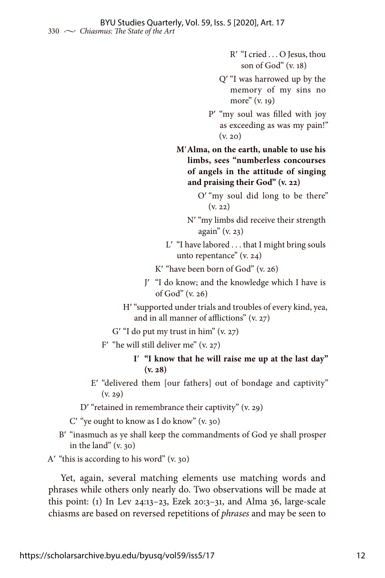Rʹ "I cried . . . O Jesus, thou son of God" (v. 18)

- Qʹ "I was harrowed up by the memory of my sins no more" (v. 19)
- Pʹ "my soul was filled with joy as exceeding as was my pain!" (v. 20)

 **M**ʹ**Alma, on the earth, unable to use his limbs, sees "numberless concourses of angels in the attitude of singing and praising their God" (v. 22)**

- Oʹ "my soul did long to be there" (v. 22)
- Nʹ "my limbs did receive their strength again" (v. 23)
- L' "I have labored . . . that I might bring souls unto repentance" (v. 24)
- $K'$  "have been born of God" (v. 26)
- Jʹ "I do know; and the knowledge which I have is of God" (v. 26)
- H' "supported under trials and troubles of every kind, yea, and in all manner of afflictions" (v. 27)
- $G'$  "I do put my trust in him" (v. 27)
- F' "he will still deliver me"  $(v. 27)$ 
	- **I**ʹ **"I know that he will raise me up at the last day" (v. 28)**
- Eʹ "delivered them [our fathers] out of bondage and captivity" (v. 29)
- D' "retained in remembrance their captivity" (v. 29)
- Cʹ "ye ought to know as I do know" (v. 30)
- B' "inasmuch as ye shall keep the commandments of God ye shall prosper in the land" (v. 30)

 $A'$  "this is according to his word" (v. 30)

Yet, again, several matching elements use matching words and phrases while others only nearly do. Two observations will be made at this point: (1) In Lev 24:13–23, Ezek 20:3–31, and Alma 36, large-scale chiasms are based on reversed repetitions of *phrases* and may be seen to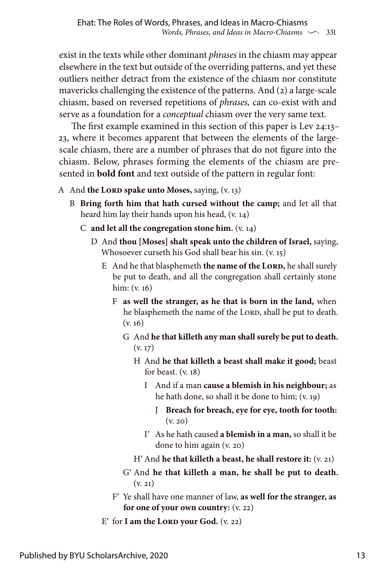exist in the texts while other dominant *phrases* in the chiasm may appear elsewhere in the text but outside of the overriding patterns, and yet these outliers neither detract from the existence of the chiasm nor constitute mavericks challenging the existence of the patterns. And (2) a large-scale chiasm, based on reversed repetitions of *phrases,* can co-exist with and serve as a foundation for a *conceptual* chiasm over the very same text.

The first example examined in this section of this paper is Lev 24:13– 23, where it becomes apparent that between the elements of the largescale chiasm, there are a number of phrases that do not figure into the chiasm. Below, phrases forming the elements of the chiasm are presented in **bold font** and text outside of the pattern in regular font:

- A And **the LORD spake unto Moses,** saying, (v. 13)
	- B **Bring forth him that hath cursed without the camp;** and let all that heard him lay their hands upon his head, (v. 14)
		- C **and let all the congregation stone him.** (v. 14)
			- D And **thou [Moses] shalt speak unto the children of Israel,** saying, Whosoever curseth his God shall bear his sin. (v. 15)
				- E And he that blasphemeth **the name of the LORD**, he shall surely be put to death, and all the congregation shall certainly stone him: (v. 16)
					- F **as well the stranger, as he that is born in the land,** when he blasphemeth the name of the LORD, shall be put to death. (v. 16)
						- G And **he that killeth any man shall surely be put to death.** (v. 17)
							- H And **he that killeth a beast shall make it good;** beast for beast. (v. 18)
								- I And if a man **cause a blemish in his neighbour;** as he hath done, so shall it be done to him; (v. 19)
									- J **Breach for breach, eye for eye, tooth for tooth:** (v. 20)
								- Iʹ As he hath caused **a blemish in a man,** so shall it be done to him again (v. 20)
							- Hʹ And **he that killeth a beast, he shall restore it:** (v. 21)
						- Gʹ And **he that killeth a man, he shall be put to death.**  $(v. 21)$
					- Fʹ Ye shall have one manner of law, **as well for the stranger, as for one of your own country:** (v. 22)
				- $E'$  for **I am the LORD your God.** (v. 22)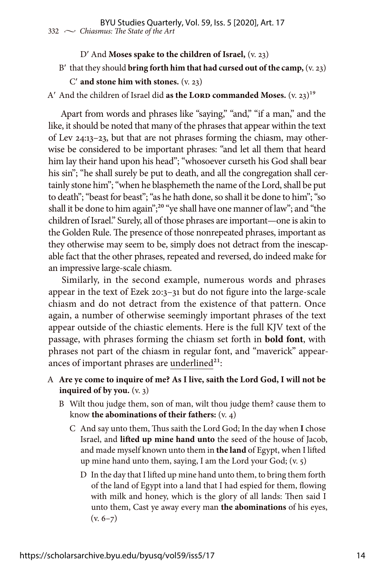#### Dʹ And **Moses spake to the children of Israel,** (v. 23)

Bʹ that they should **bring forth him that had cursed out of the camp,** (v. 23)

#### Cʹ **and stone him with stones.** (v. 23)

A' And the children of Israel did **as the LORD commanded Moses.** (v. 23)<sup>19</sup>

Apart from words and phrases like "saying," "and," "if a man," and the like, it should be noted that many of the phrases that appear within the text of Lev 24:13–23, but that are not phrases forming the chiasm, may otherwise be considered to be important phrases: "and let all them that heard him lay their hand upon his head"; "whosoever curseth his God shall bear his sin"; "he shall surely be put to death, and all the congregation shall certainly stone him"; "when he blasphemeth the name of the Lord, shall be put to death"; "beast for beast"; "as he hath done, so shall it be done to him"; "so shall it be done to him again";<sup>20</sup> "ye shall have one manner of law"; and "the children of Israel." Surely, all of those phrases are important—one is akin to the Golden Rule. The presence of those nonrepeated phrases, important as they otherwise may seem to be, simply does not detract from the inescapable fact that the other phrases, repeated and reversed, do indeed make for an impressive large-scale chiasm.

Similarly, in the second example, numerous words and phrases appear in the text of Ezek 20:3–31 but do not figure into the large-scale chiasm and do not detract from the existence of that pattern. Once again, a number of otherwise seemingly important phrases of the text appear outside of the chiastic elements. Here is the full KJV text of the passage, with phrases forming the chiasm set forth in **bold font**, with phrases not part of the chiasm in regular font, and "maverick" appearances of important phrases are underlined $2^1$ :

- A **Are ye come to inquire of me? As I live, saith the Lord God, I will not be inquired of by you.** (v. 3)
	- B Wilt thou judge them, son of man, wilt thou judge them? cause them to know **the abominations of their fathers:** (v. 4)
		- C And say unto them, Thus saith the Lord God; In the day when **I** chose Israel, and **lifted up mine hand unto** the seed of the house of Jacob, and made myself known unto them in **the land** of Egypt, when I lifted up mine hand unto them, saying, I am the Lord your God; (v. 5)
			- D In the day that I lifted up mine hand unto them, to bring them forth of the land of Egypt into a land that I had espied for them, flowing with milk and honey, which is the glory of all lands: Then said I unto them, Cast ye away every man **the abominations** of his eyes,  $(v. 6-7)$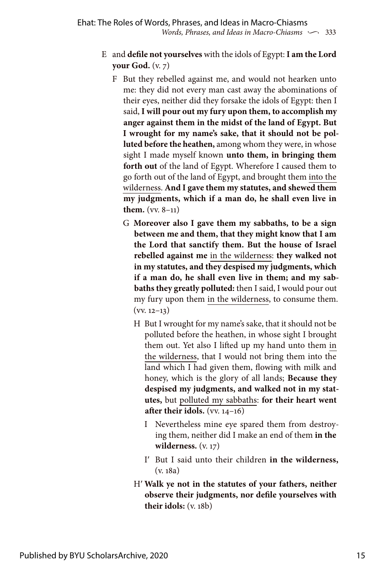- E and **defile not yourselves** with the idols of Egypt: **I am the Lord your God.** (v. 7)
	- F But they rebelled against me, and would not hearken unto me: they did not every man cast away the abominations of their eyes, neither did they forsake the idols of Egypt: then I said, **I will pour out my fury upon them, to accomplish my anger against them in the midst of the land of Egypt. But I wrought for my name's sake, that it should not be polluted before the heathen,** among whom they were, in whose sight I made myself known **unto them, in bringing them forth out** of the land of Egypt. Wherefore I caused them to go forth out of the land of Egypt, and brought them into the wilderness. **And I gave them my statutes, and shewed them my judgments, which if a man do, he shall even live in them.** (vv. 8–11)
		- G **Moreover also I gave them my sabbaths, to be a sign between me and them, that they might know that I am the Lord that sanctify them. But the house of Israel rebelled against me** in the wilderness: **they walked not in my statutes, and they despised my judgments, which if a man do, he shall even live in them; and my sabbaths they greatly polluted:** then I said, I would pour out my fury upon them in the wilderness, to consume them.  $(vv. 12-13)$ 
			- H But I wrought for my name's sake, that it should not be polluted before the heathen, in whose sight I brought them out. Yet also I lifted up my hand unto them in the wilderness, that I would not bring them into the land which I had given them, flowing with milk and honey, which is the glory of all lands; **Because they despised my judgments, and walked not in my statutes,** but polluted my sabbaths: **for their heart went after their idols.** (vv. 14–16)
				- I Nevertheless mine eye spared them from destroying them, neither did I make an end of them **in the wilderness.** (v. 17)
				- Iʹ But I said unto their children **in the wilderness,** (v. 18a)
			- Hʹ **Walk ye not in the statutes of your fathers, neither observe their judgments, nor defile yourselves with their idols:** (v. 18b)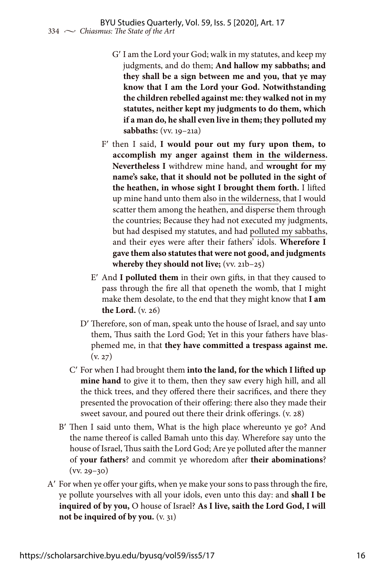- Gʹ I am the Lord your God; walk in my statutes, and keep my judgments, and do them; **And hallow my sabbaths; and they shall be a sign between me and you, that ye may know that I am the Lord your God. Notwithstanding the children rebelled against me: they walked not in my statutes, neither kept my judgments to do them, which if a man do, he shall even live in them; they polluted my sabbaths:** (vv. 19–21a)
- Fʹ then I said, **I would pour out my fury upon them, to accomplish my anger against them in the wilderness. Nevertheless I** withdrew mine hand, and **wrought for my name's sake, that it should not be polluted in the sight of the heathen, in whose sight I brought them forth.** I lifted up mine hand unto them also in the wilderness, that I would scatter them among the heathen, and disperse them through the countries; Because they had not executed my judgments, but had despised my statutes, and had polluted my sabbaths, and their eyes were after their fathers' idols. **Wherefore I gave them also statutes that were not good, and judgments whereby they should not live;** (vv. 21b–25)
- Eʹ And **I polluted them** in their own gifts, in that they caused to pass through the fire all that openeth the womb, that I might make them desolate, to the end that they might know that **I am the Lord.** (v. 26)
- Dʹ Therefore, son of man, speak unto the house of Israel, and say unto them, Thus saith the Lord God; Yet in this your fathers have blasphemed me, in that **they have committed a trespass against me.**  $(y, 27)$
- Cʹ For when I had brought them **into the land, for the which I lifted up mine hand** to give it to them, then they saw every high hill, and all the thick trees, and they offered there their sacrifices, and there they presented the provocation of their offering: there also they made their sweet savour, and poured out there their drink offerings. (v. 28)
- Bʹ Then I said unto them, What is the high place whereunto ye go? And the name thereof is called Bamah unto this day. Wherefore say unto the house of Israel, Thus saith the Lord God; Are ye polluted after the manner of **your fathers**? and commit ye whoredom after **their abominations**?  $(vv. 29-30)$
- Aʹ For when ye offer your gifts, when ye make your sons to pass through the fire, ye pollute yourselves with all your idols, even unto this day: and **shall I be inquired of by you,** O house of Israel? **As I live, saith the Lord God, I will not be inquired of by you.** (v. 31)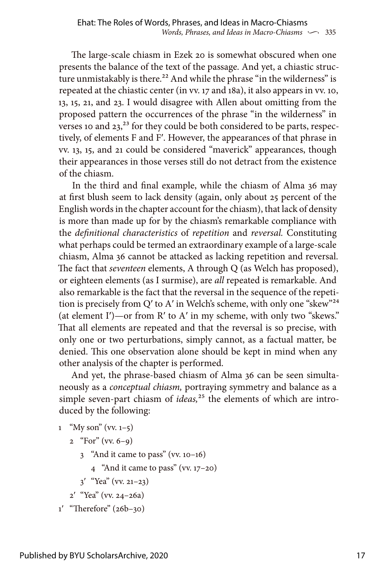The large-scale chiasm in Ezek 20 is somewhat obscured when one presents the balance of the text of the passage. And yet, a chiastic structure unmistakably is there.<sup>22</sup> And while the phrase "in the wilderness" is repeated at the chiastic center (in vv. 17 and 18a), it also appears in vv. 10, 13, 15, 21, and 23. I would disagree with Allen about omitting from the proposed pattern the occurrences of the phrase "in the wilderness" in verses 10 and 23,<sup>23</sup> for they could be both considered to be parts, respectively, of elements F and Fʹ. However, the appearances of that phrase in vv. 13, 15, and 21 could be considered "maverick" appearances, though their appearances in those verses still do not detract from the existence of the chiasm.

In the third and final example, while the chiasm of Alma 36 may at first blush seem to lack density (again, only about 25 percent of the English words in the chapter account for the chiasm), that lack of density is more than made up for by the chiasm's remarkable compliance with the *definitional characteristics* of *repetition* and *reversal.* Constituting what perhaps could be termed an extraordinary example of a large-scale chiasm, Alma 36 cannot be attacked as lacking repetition and reversal. The fact that *seventeen* elements, A through Q (as Welch has proposed), or eighteen elements (as I surmise), are *all* repeated is remarkable. And also remarkable is the fact that the reversal in the sequence of the repetition is precisely from Q' to A' in Welch's scheme, with only one "skew"<sup>24</sup> (at element Iʹ)—or from Rʹ to Aʹ in my scheme, with only two "skews." That all elements are repeated and that the reversal is so precise, with only one or two perturbations, simply cannot, as a factual matter, be denied. This one observation alone should be kept in mind when any other analysis of the chapter is performed.

And yet, the phrase-based chiasm of Alma 36 can be seen simultaneously as a *conceptual chiasm,* portraying symmetry and balance as a simple seven-part chiasm of *ideas*,<sup>25</sup> the elements of which are introduced by the following:

```
1 "My son" (vv. 1-5)
```

```
2 "For" (vv. 6-9)
```
- 3 "And it came to pass" (vv. 10–16)
	- 4 "And it came to pass" (vv. 17–20)
- $3'$  "Yea" (vv. 21–23)
- 2ʹ "Yea" (vv. 24–26a)

```
1ʹ "Therefore" (26b–30)
```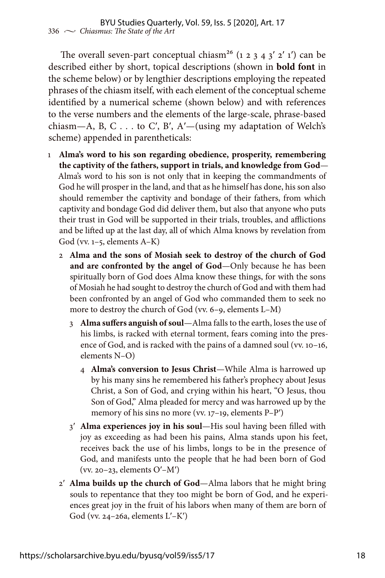The overall seven-part conceptual chiasm<sup>26</sup> (1 2 3 4 3' 2' 1') can be described either by short, topical descriptions (shown in **bold font** in the scheme below) or by lengthier descriptions employing the repeated phrases of the chiasm itself, with each element of the conceptual scheme identified by a numerical scheme (shown below) and with references to the verse numbers and the elements of the large-scale, phrase-based chiasm—A, B, C... to C', B', A'—(using my adaptation of Welch's scheme) appended in parentheticals:

- 1 **Alma's word to his son regarding obedience, prosperity, remembering the captivity of the fathers, support in trials, and knowledge from God**— Alma's word to his son is not only that in keeping the commandments of God he will prosper in the land, and that as he himself has done, his son also should remember the captivity and bondage of their fathers, from which captivity and bondage God did deliver them, but also that anyone who puts their trust in God will be supported in their trials, troubles, and afflictions and be lifted up at the last day, all of which Alma knows by revelation from God (vv. 1–5, elements A–K)
	- 2 **Alma and the sons of Mosiah seek to destroy of the church of God and are confronted by the angel of God**—Only because he has been spiritually born of God does Alma know these things, for with the sons of Mosiah he had sought to destroy the church of God and with them had been confronted by an angel of God who commanded them to seek no more to destroy the church of God (vv. 6–9, elements L–M)
		- 3 **Alma suffers anguish of soul**—Alma falls to the earth, loses the use of his limbs, is racked with eternal torment, fears coming into the presence of God, and is racked with the pains of a damned soul (vv. 10–16, elements N–O)
			- 4 **Alma's conversion to Jesus Christ**—While Alma is harrowed up by his many sins he remembered his father's prophecy about Jesus Christ, a Son of God, and crying within his heart, "O Jesus, thou Son of God," Alma pleaded for mercy and was harrowed up by the memory of his sins no more (vv. 17–19, elements P–Pʹ)
		- 3ʹ **Alma experiences joy in his soul**—His soul having been filled with joy as exceeding as had been his pains, Alma stands upon his feet, receives back the use of his limbs, longs to be in the presence of God, and manifests unto the people that he had been born of God (vv. 20–23, elements Oʹ–Mʹ)
	- 2ʹ **Alma builds up the church of God**—Alma labors that he might bring souls to repentance that they too might be born of God, and he experiences great joy in the fruit of his labors when many of them are born of God (vv. 24–26a, elements  $L'$ – $K'$ )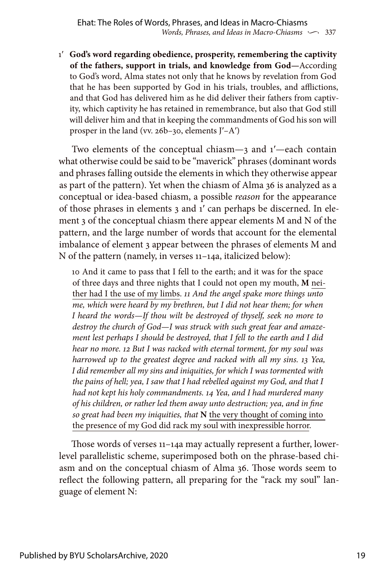1ʹ **God's word regarding obedience, prosperity, remembering the captivity of the fathers, support in trials, and knowledge from God—**According to God's word, Alma states not only that he knows by revelation from God that he has been supported by God in his trials, troubles, and afflictions, and that God has delivered him as he did deliver their fathers from captivity, which captivity he has retained in remembrance, but also that God still will deliver him and that in keeping the commandments of God his son will prosper in the land (vv. 26b–30, elements Jʹ–Aʹ)

Two elements of the conceptual chiasm—3 and 1ʹ—each contain what otherwise could be said to be "maverick" phrases (dominant words and phrases falling outside the elements in which they otherwise appear as part of the pattern). Yet when the chiasm of Alma 36 is analyzed as a conceptual or idea-based chiasm, a possible *reason* for the appearance of those phrases in elements 3 and 1ʹ can perhaps be discerned. In element 3 of the conceptual chiasm there appear elements M and N of the pattern, and the large number of words that account for the elemental imbalance of element 3 appear between the phrases of elements M and N of the pattern (namely, in verses 11–14a, italicized below):

10 And it came to pass that I fell to the earth; and it was for the space of three days and three nights that I could not open my mouth, **M** neither had I the use of my limbs. *11 And the angel spake more things unto me, which were heard by my brethren, but I did not hear them; for when I heard the words—If thou wilt be destroyed of thyself, seek no more to destroy the church of God—I was struck with such great fear and amazement lest perhaps I should be destroyed, that I fell to the earth and I did hear no more. 12 But I was racked with eternal torment, for my soul was harrowed up to the greatest degree and racked with all my sins. 13 Yea, I did remember all my sins and iniquities, for which I was tormented with the pains of hell; yea, I saw that I had rebelled against my God, and that I had not kept his holy commandments. 14 Yea, and I had murdered many of his children, or rather led them away unto destruction; yea, and in fine so great had been my iniquities, that* **N** the very thought of coming into the presence of my God did rack my soul with inexpressible horror.

Those words of verses 11–14a may actually represent a further, lowerlevel parallelistic scheme, superimposed both on the phrase-based chiasm and on the conceptual chiasm of Alma 36. Those words seem to reflect the following pattern, all preparing for the "rack my soul" language of element N: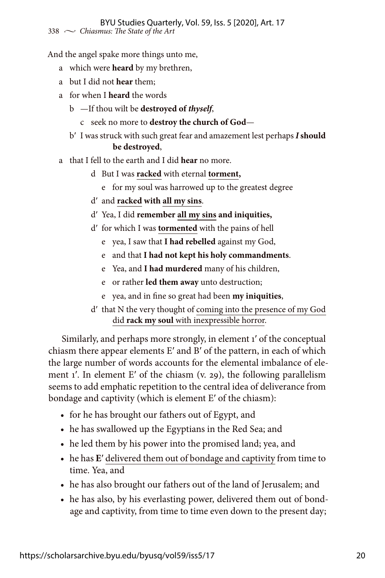And the angel spake more things unto me,

- a which were **heard** by my brethren,
- a but I did not **hear** them;
- a for when I **heard** the words
	- b —If thou wilt be **destroyed of** *thyself*,
		- c seek no more to **destroy the church of God**—
	- bʹ I was struck with such great fear and amazement lest perhaps *I* **should be destroyed**,
- a that I fell to the earth and I did **hear** no more.
	- d But I was **racked** with eternal **torment,**
		- e for my soul was harrowed up to the greatest degree
	- dʹ and **racked with all my sins**.
	- dʹ Yea, I did **remember all my sins and iniquities,**
	- dʹ for which I was **tormented** with the pains of hell
		- e yea, I saw that **I had rebelled** against my God,
		- e and that **I had not kept his holy commandments**.
		- e Yea, and **I had murdered** many of his children,
		- e or rather **led them away** unto destruction;
		- e yea, and in fine so great had been **my iniquities**,
	- dʹ that N the very thought of coming into the presence of my God did **rack my soul** with inexpressible horror.

Similarly, and perhaps more strongly, in element 1ʹ of the conceptual chiasm there appear elements Eʹ and Bʹ of the pattern, in each of which the large number of words accounts for the elemental imbalance of element 1'. In element E' of the chiasm  $(v, 29)$ , the following parallelism seems to add emphatic repetition to the central idea of deliverance from bondage and captivity (which is element Eʹ of the chiasm):

- for he has brought our fathers out of Egypt, and
- he has swallowed up the Egyptians in the Red Sea; and
- he led them by his power into the promised land; yea, and
- he has **E**ʹ delivered them out of bondage and captivity from time to time. Yea, and
- he has also brought our fathers out of the land of Jerusalem; and
- he has also, by his everlasting power, delivered them out of bondage and captivity, from time to time even down to the present day;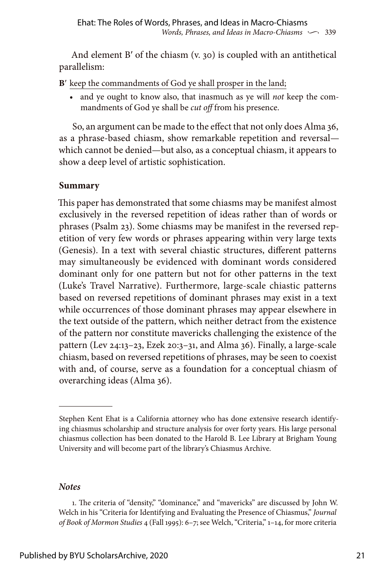And element B' of the chiasm (v. 30) is coupled with an antithetical parallelism:

**B**ʹ keep the commandments of God ye shall prosper in the land;

• and ye ought to know also, that inasmuch as ye will *not* keep the commandments of God ye shall be *cut off* from his presence.

So, an argument can be made to the effect that not only does Alma 36, as a phrase-based chiasm, show remarkable repetition and reversal which cannot be denied—but also, as a conceptual chiasm, it appears to show a deep level of artistic sophistication.

## **Summary**

This paper has demonstrated that some chiasms may be manifest almost exclusively in the reversed repetition of ideas rather than of words or phrases (Psalm 23). Some chiasms may be manifest in the reversed repetition of very few words or phrases appearing within very large texts (Genesis). In a text with several chiastic structures, different patterns may simultaneously be evidenced with dominant words considered dominant only for one pattern but not for other patterns in the text (Luke's Travel Narrative). Furthermore, large-scale chiastic patterns based on reversed repetitions of dominant phrases may exist in a text while occurrences of those dominant phrases may appear elsewhere in the text outside of the pattern, which neither detract from the existence of the pattern nor constitute mavericks challenging the existence of the pattern (Lev 24:13–23, Ezek 20:3–31, and Alma 36). Finally, a large-scale chiasm, based on reversed repetitions of phrases, may be seen to coexist with and, of course, serve as a foundation for a conceptual chiasm of overarching ideas (Alma 36).

#### *Notes*

Stephen Kent Ehat is a California attorney who has done extensive research identifying chiasmus scholarship and structure analysis for over forty years. His large personal chiasmus collection has been donated to the Harold B. Lee Library at Brigham Young University and will become part of the library's Chiasmus Archive.

<sup>1.</sup> The criteria of "density," "dominance," and "mavericks" are discussed by John W. Welch in his "Criteria for Identifying and Evaluating the Presence of Chiasmus," *Journal of Book of Mormon Studies* 4 (Fall 1995): 6–7; see Welch, "Criteria," 1–14, for more criteria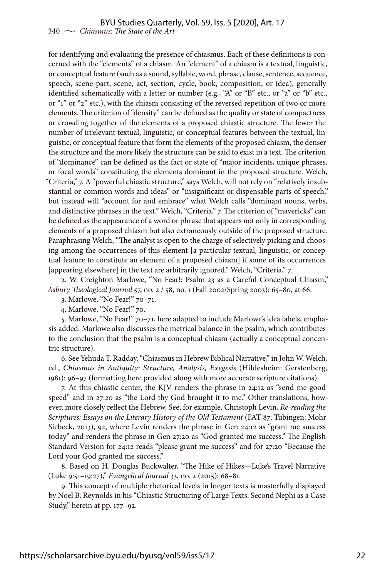for identifying and evaluating the presence of chiasmus. Each of these definitions is concerned with the "elements" of a chiasm. An "element" of a chiasm is a textual, linguistic, or conceptual feature (such as a sound, syllable, word, phrase, clause, sentence, sequence, speech, scene-part, scene, act, section, cycle, book, composition, or idea), generally identified schematically with a letter or number (e.g., "A" or "B" etc., or "a" or "b" etc., or "1" or "2" etc.), with the chiasm consisting of the reversed repetition of two or more elements. The criterion of "density" can be defined as the quality or state of compactness or crowding together of the elements of a proposed chiastic structure. The fewer the number of irrelevant textual, linguistic, or conceptual features between the textual, linguistic, or conceptual feature that form the elements of the proposed chiasm, the denser the structure and the more likely the structure can be said to exist in a text. The criterion of "dominance" can be defined as the fact or state of "major incidents, unique phrases, or focal words" constituting the elements dominant in the proposed structure. Welch, "Criteria," 7. A "powerful chiastic structure," says Welch, will not rely on "relatively insubstantial or common words and ideas" or "insignificant or dispensable parts of speech," but instead will "account for and embrace" what Welch calls "dominant nouns, verbs, and distinctive phrases in the text." Welch, "Criteria," 7. The criterion of "mavericks" can be defined as the appearance of a word or phrase that appears not only in corresponding elements of a proposed chiasm but also extraneously outside of the proposed structure. Paraphrasing Welch, "The analyst is open to the charge of selectively picking and choosing among the occurrences of this element [a particular textual, linguistic, or conceptual feature to constitute an element of a proposed chiasm] if some of its occurrences [appearing elsewhere] in the text are arbitrarily ignored." Welch, "Criteria," 7.

2. W. Creighton Marlowe, "No Fear!: Psalm 23 as a Careful Conceptual Chiasm," *Asbury Theological Journal* 57, no. 2 / 58, no. 1 (Fall 2002/Spring 2003): 65–80, at 66.

3. Marlowe, "No Fear!" 70–71.

4. Marlowe, "No Fear!" 70.

5. Marlowe, "No Fear!" 70–71, here adapted to include Marlowe's idea labels, emphasis added. Marlowe also discusses the metrical balance in the psalm, which contributes to the conclusion that the psalm is a conceptual chiasm (actually a conceptual concentric structure).

6. See Yehuda T. Radday, "Chiasmus in Hebrew Biblical Narrative," in John W. Welch, ed., *Chiasmus in Antiquity: Structure, Analysis, Exegesis* (Hildesheim: Gerstenberg, 1981): 96–97 (formatting here provided along with more accurate scripture citations).

7. At this chiastic center, the KJV renders the phrase in 24:12 as "send me good speed" and in 27:20 as "the Lord thy God brought it to me." Other translations, however, more closely reflect the Hebrew. See, for example, Christoph Levin, *Re-reading the Scriptures: Essays on the Literary History of the Old Testament* (FAT 87; Tübingen: Mohr Siebeck, 2013), 92, where Levin renders the phrase in Gen 24:12 as "grant me success today" and renders the phrase in Gen 27:20 as "God granted me success." The English Standard Version for 24:12 reads "please grant me success" and for 27:20 "Because the Lord your God granted me success."

8. Based on H. Douglas Buckwalter, "The Hike of Hikes—Luke's Travel Narrative (Luke 9:51–19:27)," *Evangelical Journal* 33, no. 2 (2015): 68–81.

9. This concept of multiple rhetorical levels in longer texts is masterfully displayed by Noel B. Reynolds in his "Chiastic Structuring of Large Texts: Second Nephi as a Case Study," herein at pp. 177–92.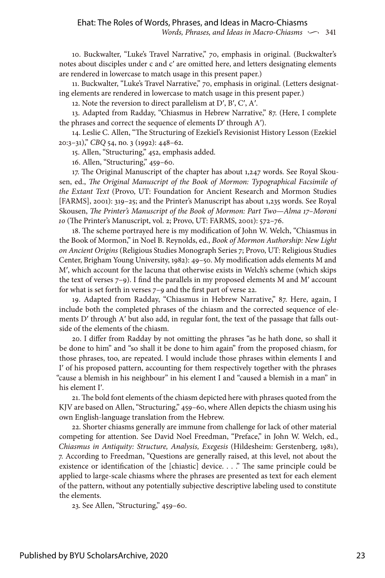10. Buckwalter, "Luke's Travel Narrative," 70, emphasis in original. (Buckwalter's notes about disciples under c and cʹ are omitted here, and letters designating elements are rendered in lowercase to match usage in this present paper.)

11. Buckwalter, "Luke's Travel Narrative," 70, emphasis in original. (Letters designating elements are rendered in lowercase to match usage in this present paper.)

12. Note the reversion to direct parallelism at Dʹ, Bʹ, Cʹ, Aʹ.

13. Adapted from Radday, "Chiasmus in Hebrew Narrative," 87. (Here, I complete the phrases and correct the sequence of elements Dʹ through Aʹ).

14. Leslie C. Allen, "The Structuring of Ezekiel's Revisionist History Lesson (Ezekiel 20:3–31)," *CBQ* 54, no. 3 (1992): 448–62.

15. Allen, "Structuring," 452, emphasis added.

16. Allen, "Structuring," 459–60.

17. The Original Manuscript of the chapter has about 1,247 words. See Royal Skousen, ed., *The Original Manuscript of the Book of Mormon: Typographical Facsimile of the Extant Text* (Provo, UT: Foundation for Ancient Research and Mormon Studies [FARMS], 2001): 319–25; and the Printer's Manuscript has about 1,235 words. See Royal Skousen, *The Printer's Manuscript of the Book of Mormon: Part Two—Alma 17–Moroni 10* (The Printer's Manuscript, vol. 2; Provo, UT: FARMS, 2001): 572–76.

18. The scheme portrayed here is my modification of John W. Welch, "Chiasmus in the Book of Mormon," in Noel B. Reynolds, ed., *Book of Mormon Authorship: New Light on Ancient Origins* (Religious Studies Monograph Series 7; Provo, UT: Religious Studies Center, Brigham Young University, 1982): 49–50. My modification adds elements M and Mʹ, which account for the lacuna that otherwise exists in Welch's scheme (which skips the text of verses 7–9). I find the parallels in my proposed elements M and Mʹ account for what is set forth in verses 7–9 and the first part of verse 22.

19. Adapted from Radday, "Chiasmus in Hebrew Narrative," 87. Here, again, I include both the completed phrases of the chiasm and the corrected sequence of elements D' through A' but also add, in regular font, the text of the passage that falls outside of the elements of the chiasm.

20. I differ from Radday by not omitting the phrases "as he hath done, so shall it be done to him" and "so shall it be done to him again" from the proposed chiasm, for those phrases, too, are repeated. I would include those phrases within elements I and I' of his proposed pattern, accounting for them respectively together with the phrases "cause a blemish in his neighbour" in his element I and "caused a blemish in a man" in his element Iʹ.

21. The bold font elements of the chiasm depicted here with phrases quoted from the KJV are based on Allen, "Structuring," 459–60, where Allen depicts the chiasm using his own English-language translation from the Hebrew.

22. Shorter chiasms generally are immune from challenge for lack of other material competing for attention. See David Noel Freedman, "Preface," in John W. Welch, ed., *Chiasmus in Antiquity: Structure, Analysis, Exegesis* (Hildesheim: Gerstenberg, 1981), 7. According to Freedman, "Questions are generally raised, at this level, not about the existence or identification of the [chiastic] device. . . ." The same principle could be applied to large-scale chiasms where the phrases are presented as text for each element of the pattern, without any potentially subjective descriptive labeling used to constitute the elements.

23. See Allen, "Structuring," 459–60.